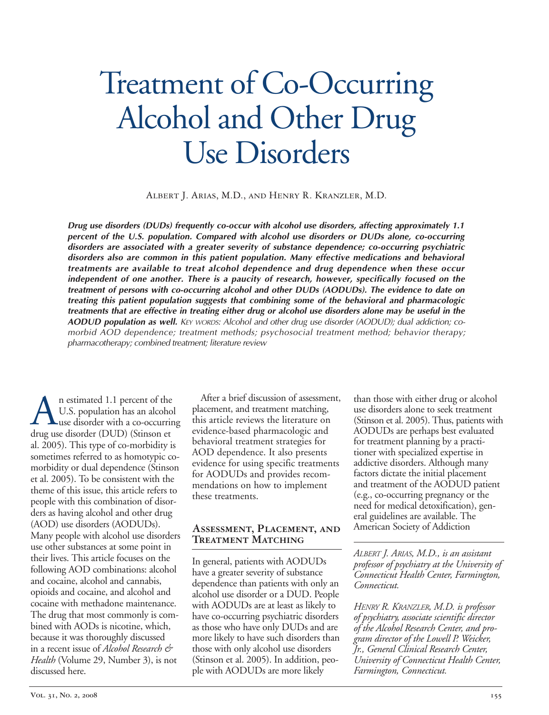# Treatment of Co-Occurring Alcohol and Other Drug Use Disorders

Albert J. Arias, M.D., and Henry R. Kranzler, M.D.

**Drug use disorders (DUDs) frequently co-occur with alcohol use disorders, affecting approximately 1.1 percent of the U.S. population. Compared with alcohol use disorders or DUDs alone, co-occurring disorders are associated with a greater severity of substance dependence; co-occurring psychiatric disorders also are common in this patient population. Many effective medications and behavioral treatments are available to treat alcohol dependence and drug dependence when these occur independent of one another. There is a paucity of research, however, specifically focused on the treatment of persons with co-occurring alcohol and other DUDs (AODUDs). The evidence to date on treating this patient population suggests that combining some of the behavioral and pharmacologic treatments that are effective in treating either drug or alcohol use disorders alone may be useful in the AODUD population as well.** KEY WORDS: Alcohol and other drug use disorder (AODUD); dual addiction; comorbid AOD dependence; treatment methods; psychosocial treatment method; behavior therapy; pharmacotherapy; combined treatment; literature review

n estimated 1.1 per dr ug use disorder (DUD) (Stinson et A in estimated 1.1 percent of the<br>
U.S. population has an alcohol<br>
use disorder (DUD) (Stinson et U.S. population has an alcohol al. 2005). This type of co-morbidity is sometimes referred to as homotypic comorbidity or dual dependence (Stinson et al. 2005). To be consistent with the theme of this issue, this article refers to people with this combination of disorders as having alcohol and other drug (AOD) use disorders (AODUDs). Many people with alcohol use disorders use other substances at some point in their lives. This article focuses on the following AOD combinations: alcohol and cocaine, alcohol and cannabis, opioids and cocaine, and alcohol and cocaine with methadone maintenance. The drug that most commonly is combined with AODs is nicotine, which, because it was thoroughly discussed in a recent issue of *Alcohol Research & Health* (Volume 29, Number 3), is not discussed here. 

After a brief discussion of assessment, placement, and treatment matching, this article reviews the literature on evidence-based pharmacologic and behavioral treatment strategies for AOD dependence. It also presents evidence for using specific treatments for AODUDs and provides recommendations on how to implement these treatments. 

# **Assessment, Placement, and Treatment Matching**

In general, patients with AODUDs have a greater severity of substance dependence than patients with only an alcohol use disorder or a DUD. People with AODUDs are at least as likely to have co-occurring psychiatric disorders as those who have only DUDs and are more likely to have such disorders than those with only alcohol use disorders (Stinson et al. 2005). In addition, people with AODUDs are more likely

than those with either drug or alcohol use disorders alone to seek treatment (Stinson et al. 2005). Thus, patients with AODUDs are perhaps best evaluated for treatment planning by a practitioner with specialized expertise in addictive disorders. Although many factors dictate the initial placement and treatment of the AODUD patient (e.g., co-occurring pregnancy or the need for medical detoxification), general guidelines are available. The American Society of Addiction

*ALBERT J. ARIAS, M.D., is an assistant professor of psychiatry at the University of Connecticut Health Center, Farmington, Connecticut.* 

*HENRY R. KRANZLER, M.D. is professor of psychiatry, associate scientific director of the Alcohol Research Center, and program director of the Lowell P. Weicker, Jr., General Clinical Research Center, University of Connecticut Health Center, Farmington, Connecticut.*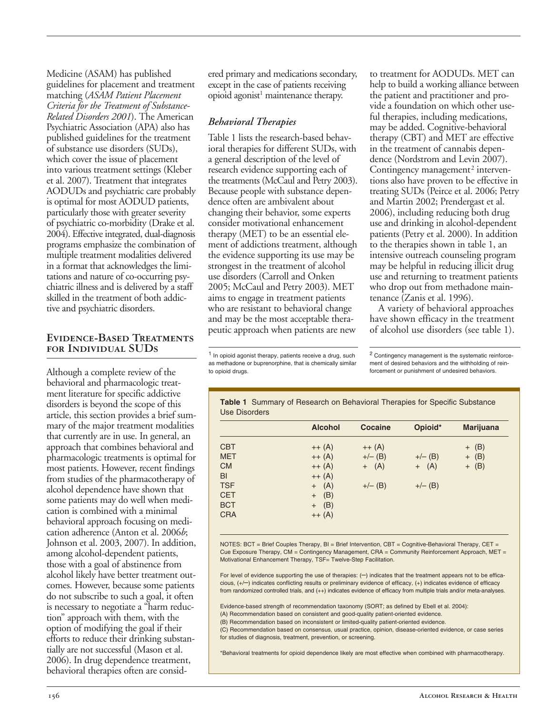et al. 2007). Treatment that integrates Medicine (ASAM) has published guidelines for placement and treatment matching (*ASAM Patient Placement Criteria for the Treatment of Substance-Related Disorders 2001*). The American Psychiatric Association (APA) also has published guidelines for the treatment of substance use disorders (SUDs), which cover the issue of placement into various treatment settings (Kleber AODUDs and psychiatric care probably is optimal for most AODUD patients, particularly those with greater severity of psychiatric co-morbidity (Drake et al. 2004). Effective integrated, dual-diagnosis programs emphasize the combination of multiple treatment modalities delivered in a format that acknowledges the limitations and nature of co-occurring psychiatric illness and is delivered by a staff skilled in the treatment of both addictive and psychiatric disorders.

# **Evidence-Based Treatments for Individual SUDs**

Although a complete review of the behavioral and pharmacologic treatment literature for specific addictive disorders is beyond the scope of this article, this section provides a brief summary of the major treatment modalities that currently are in use. In general, an approach that combines behavioral and pharmacologic treatments is optimal for most patients. However, recent findings from studies of the pharmacotherapy of alcohol dependence have shown that some patients may do well when medication is combined with a minimal behavioral approach focusing on medication adherence (Anton et al. 2006*b*; Johnson et al. 2003, 2007). In addition, among alcohol-dependent patients, those with a goal of abstinence from alcohol likely have better treatment outcomes. However, because some patients do not subscribe to such a goal, it often is necessary to negotiate a "harm reduction" approach with them, with the option of modifying the goal if their efforts to reduce their drinking substantially are not successful (Mason et al. 2006). In drug dependence treatment, behavioral therapies often are considered primary and medications secondary, except in the case of patients receiving opioid agonist<sup>1</sup> maintenance therapy.

# *Behavioral Therapies*

Table 1 lists the research-based behavioral therapies for different SUDs, with a general description of the level of research evidence supporting each of the treatments (McCaul and Petry 2003). Because people with substance dependence often are ambivalent about changing their behavior, some experts consider motivational enhancement therapy (MET) to be an essential element of addictions treatment, although the evidence supporting its use may be strongest in the treatment of alcohol use disorders (Carroll and Onken 2005; McCaul and Petry 2003). MET aims to engage in treatment patients who are resistant to behavioral change and may be the most acceptable therapeutic approach when patients are new

 $<sup>1</sup>$  In opioid agonist therapy, patients receive a drug, such</sup> as methadone or buprenorphine, that is chemically similar to opioid drugs.

to treatment for AODUDs. MET can help to build a working alliance between the patient and practitioner and provide a foundation on which other useful therapies, including medications, may be added. Cognitive-behavioral therapy (CBT) and MET are effective in the treatment of cannabis dependence (Nordstrom and Levin 2007). Contingency management<sup>2</sup> interventions also have proven to be effective in treating SUDs (Peirce et al. 2006; Petry and Martin 2002; Prendergast et al. 2006), including reducing both drug use and drinking in alcohol-dependent patients (Petry et al. 2000). In addition to the therapies shown in table 1, an intensive outreach counseling program may be helpful in reducing illicit drug use and returning to treatment patients who drop out from methadone maintenance (Zanis et al. 1996).

A variety of behavioral approaches have shown efficacy in the treatment of alcohol use disorders (see table 1).

2 Contingency management is the systematic reinforcement of desired behaviors and the withholding of reinforcement or punishment of undesired behaviors.

|            | <b>Alcohol</b> | <b>Cocaine</b> | Opioid*   | <b>Marijuana</b> |
|------------|----------------|----------------|-----------|------------------|
| <b>CBT</b> | $++ (A)$       | $++ (A)$       |           | $+$ (B)          |
| <b>MET</b> | $++ (A)$       | $+/-$ (B)      | $+/- (B)$ | $+$ (B)          |
| <b>CM</b>  | $++ (A)$       | $+$ (A)        | $+$ (A)   | $+$ (B)          |
| BI         | $++ (A)$       |                |           |                  |
| <b>TSF</b> | $+$ (A)        | $+/-$ (B)      | $+/-$ (B) |                  |
| <b>CET</b> | $+$ (B)        |                |           |                  |
| <b>BCT</b> | $+$ (B)        |                |           |                  |
| <b>CRA</b> | $++ (A)$       |                |           |                  |

**Table 1** Summary of Research on Behavioral Therapies for Specific Substance

NOTES: BCT = Brief Couples Therapy, BI = Brief Intervention, CBT = Cognitive-Behavioral Therapy, CET = Cue Exposure Therapy, CM = Contingency Management, CRA = Community Reinforcement Approach, MET = Motivational Enhancement Therapy, TSF= Twelve-Step Facilitation.

For level of evidence supporting the use of therapies: (-) indicates that the treatment appears not to be efficacious,  $(+/-)$  indicates conflicting results or preliminary evidence of efficacy,  $(+)$  indicates evidence of efficacy from randomized controlled trials, and  $(++)$  indicates evidence of efficacy from multiple trials and/or me

Evidence-based strength of recommendation taxonomy (SORT; as defined by Ebell et al. 2004):

(A) Recommendation based on consistent and good-quality patient-oriented evidence.

(B) Recommendation based on inconsistent or limited-quality patient-oriented evidence.

(C) Recommendation based on consensus, usual practice, opinion, disease-oriented evidence, or case series for studies of diagnosis, treatment, prevention, or screening.

\*Behavioral treatments for opioid dependence likely are most effective when combined with pharmacotherapy.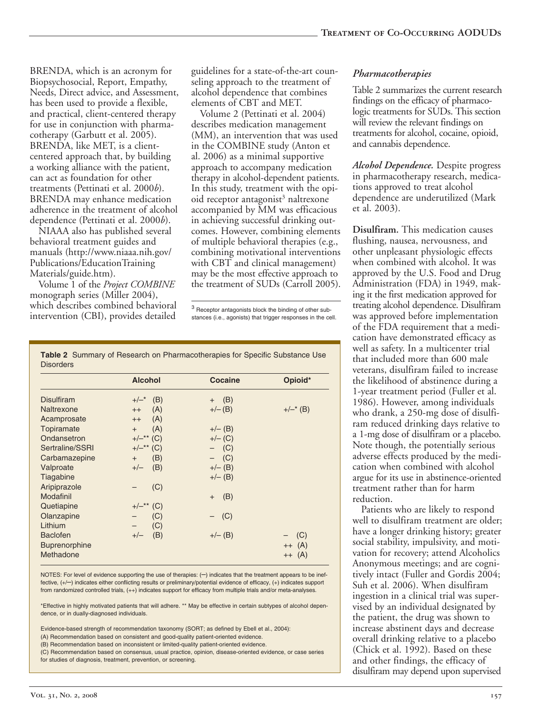BRENDA, which is an acronym for Biopsychosocial, Report, Empathy, Needs, Direct advice, and Assessment, has been used to provide a flexible, and practical, client-centered therapy for use in conjunction with pharmacotherapy (Garbutt et al. 2005). BRENDA, like MET, is a clientcentered approach that, by building a working alliance with the patient, can act as foundation for other treatments (Pettinati et al. 2000*b*). BRENDA may enhance medication adherence in the treatment of alcohol dependence (Pettinati et al. 2000*b*).

NIAAA also has published several behavioral treatment guides and manuals (http://www.niaaa.nih.gov/ Publications/EducationTraining Materials/guide.htm).

Volume 1 of the *Project COMBINE*  monograph series (Miller 2004), which describes combined behavioral intervention (CBI), provides detailed

guidelines for a state-of-the-art counseling approach to the treatment of alcohol dependence that combines elements of CBT and MET.

Volume 2 (Pettinati et al. 2004) describes medication management (MM), an intervention that was used in the COMBINE study (Anton et al. 2006) as a minimal supportive approach to accompany medication therapy in alcohol-dependent patients. In this study, treatment with the opioid receptor antagonist<sup>3</sup> naltrexone accompanied by MM was efficacious in achieving successful drinking outcomes. However, combining elements of multiple behavioral therapies (e.g., combining motivational interventions with CBT and clinical management) may be the most effective approach to the treatment of SUDs (Carroll 2005).

3 Receptor antagonists block the binding of other substances (i.e., agonists) that trigger responses in the cell.

|                      | <b>Alcohol</b> | <b>Cocaine</b> | Opioid*     |
|----------------------|----------------|----------------|-------------|
| <b>Disulfiram</b>    | (B)<br>$+/-$ * | (B)<br>$+$     |             |
| Naltrexone           | (A)<br>$++$    | $+/-$ (B)      | $+/-$ * (B) |
| Acamprosate          | (A)<br>$++$    |                |             |
| Topiramate           | (A)<br>$+$     | $+/-$ (B)      |             |
| Ondansetron          | $+/-**$ (C)    | $+/-$ (C)      |             |
| Sertraline/SSRI      | $+/-**$ (C)    | $-$ (C)        |             |
| Carbamazepine        | (B)<br>$+$     | $-$ (C)        |             |
| Valproate            | (B)<br>$+/-$   | $+/- (B)$      |             |
| Tiagabine            |                | $+/-$ (B)      |             |
| Aripiprazole         | (C)            |                |             |
| Modafinil            |                | (B)<br>$+$     |             |
| Quetiapine           | $+/-**$ (C)    |                |             |
| Olanzapine           | (C)            | (C)            |             |
| Lithium              | (C)            |                |             |
| <b>Baclofen</b>      | $+/-$<br>(B)   | $+/- (B)$      | (C)         |
| <b>Buprenorphine</b> |                |                | $++(A)$     |
| Methadone            |                |                | ++ (A)      |

NOTES: For level of evidence supporting the use of therapies: (–) indicates that the treatment appears to be ineffective, (+/–) indicates either conflicting results or preliminary/potential evidence of efficacy, (+) indicates support from randomized controlled trials, (++) indicates support for efficacy from multiple trials and/or meta-analyses.

\*Effective in highly motivated patients that will adhere. \*\* May be effective in certain subtypes of alcohol dependence, or in dually-diagnosed individuals.

Evidence-based strength of recommendation taxonomy (SORT; as defined by Ebell et al., 2004):

(A) Recommendation based on consistent and good-quality patient-oriented evidence.

(B) Recommendation based on inconsistent or limited-quality patient-oriented evidence.

(C) Recommendation based on consensus, usual practice, opinion, disease-oriented evidence, or case series

for studies of diagnosis, treatment, prevention, or screening.

*Pharmacotherapies* 

Table 2 summarizes the current research findings on the efficacy of pharmacologic treatments for SUDs. This section will review the relevant findings on treatments for alcohol, cocaine, opioid, and cannabis dependence.

*Alcohol Dependence.* Despite progress in pharmacotherapy research, medications approved to treat alcohol dependence are underutilized (Mark et al. 2003).

**Disulfiram.** This medication causes flushing, nausea, nervousness, and other unpleasant physiologic effects when combined with alcohol. It was approved by the U.S. Food and Drug Administration (FDA) in 1949, making it the first medication approved for treating alcohol dependence. Disulfiram was approved before implementation of the FDA requirement that a medication have demonstrated efficacy as well as safety. In a multicenter trial that included more than 600 male veterans, disulfiram failed to increase the likelihood of abstinence during a 1-year treatment period (Fuller et al. 1986). However, among individuals who drank, a 250-mg dose of disulfiram reduced drinking days relative to a 1-mg dose of disulfiram or a placebo. Note though, the potentially serious adverse effects produced by the medication when combined with alcohol argue for its use in abstinence-oriented treatment rather than for harm reduction.

Patients who are likely to respond well to disulfiram treatment are older; have a longer drinking history; greater social stability, impulsivity, and motivation for recovery; attend Alcoholics Anonymous meetings; and are cognitively intact (Fuller and Gordis 2004; Suh et al. 2006). When disulfiram ingestion in a clinical trial was supervised by an individual designated by the patient, the drug was shown to increase abstinent days and decrease overall drinking relative to a placebo (Chick et al. 1992). Based on these and other findings, the efficacy of disulfiram may depend upon supervised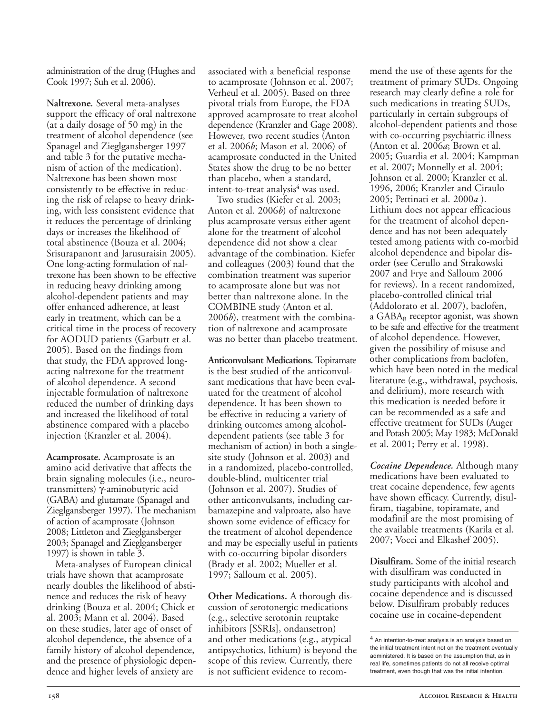administration of the drug (Hughes and Cook 1997; Suh et al. 2006).

**Naltrexone***.* Several meta-analyses support the efficacy of oral naltrexone (at a daily dosage of 50 mg) in the treatment of alcohol dependence (see Spanagel and Zieglgansberger 1997 and table 3 for the putative mechanism of action of the medication). Naltrexone has been shown most consistently to be effective in reducing the risk of relapse to heavy drinking, with less consistent evidence that it reduces the percentage of drinking days or increases the likelihood of total abstinence (Bouza et al. 2004; Srisurapanont and Jarusuraisin 2005). One long-acting formulation of naltrexone has been shown to be effective in reducing heavy drinking among alcohol-dependent patients and may offer enhanced adherence, at least early in treatment, which can be a critical time in the process of recovery for AODUD patients (Garbutt et al. 2005). Based on the findings from that study, the FDA approved longacting naltrexone for the treatment of alcohol dependence. A second injectable formulation of naltrexone reduced the number of drinking days and increased the likelihood of total abstinence compared with a placebo injection (Kranzler et al. 2004).

**Acamprosate.** Acamprosate is an amino acid derivative that affects the brain signaling molecules (i.e., neurotransmitters) γ-aminobutyric acid (GABA) and glutamate (Spanagel and Zieglgansberger 1997). The mechanism of action of acamprosate (Johnson 2008; Littleton and Zieglgansberger 2003; Spanagel and Zieglgansberger 1997) is shown in table 3.

Meta-analyses of European clinical trials have shown that acamprosate nearly doubles the likelihood of abstinence and reduces the risk of heavy drinking (Bouza et al. 2004; Chick et al. 2003; Mann et al. 2004). Based on these studies, later age of onset of alcohol dependence, the absence of a family history of alcohol dependence, and the presence of physiologic dependence and higher levels of anxiety are

associated with a beneficial response to acamprosate (Johnson et al. 2007; Verheul et al. 2005). Based on three pivotal trials from Europe, the FDA approved acamprosate to treat alcohol dependence (Kranzler and Gage 2008). However, two recent studies (Anton et al. 2006*b*; Mason et al. 2006) of acamprosate conducted in the United States show the drug to be no better than placebo, when a standard, intent-to-treat analysis<sup>4</sup> was used.

Two studies (Kiefer et al. 2003; Anton et al. 2006*b*) of naltrexone plus acamprosate versus either agent alone for the treatment of alcohol dependence did not show a clear advantage of the combination. Kiefer and colleagues (2003) found that the combination treatment was superior to acamprosate alone but was not better than naltrexone alone. In the COMBINE study (Anton et al. 2006*b*), treatment with the combination of naltrexone and acamprosate was no better than placebo treatment.

**Anticonvulsant Medications.** Topiramate is the best studied of the anticonvulsant medications that have been evaluated for the treatment of alcohol dependence. It has been shown to be effective in reducing a variety of drinking outcomes among alcoholdependent patients (see table 3 for mechanism of action) in both a singlesite study (Johnson et al. 2003) and in a randomized, placebo-controlled, double-blind, multicenter trial (Johnson et al. 2007). Studies of other anticonvulsants, including carbamazepine and valproate, also have shown some evidence of efficacy for the treatment of alcohol dependence and may be especially useful in patients with co-occurring bipolar disorders (Brady et al. 2002; Mueller et al. 1997; Salloum et al. 2005).

**Other Medications.** A thorough discussion of serotonergic medications (e.g., selective serotonin reuptake inhibitors [SSRIs], ondansetron) and other medications (e.g., atypical antipsychotics, lithium) is beyond the scope of this review. Currently, there is not sufficient evidence to recommend the use of these agents for the treatment of primary SUDs. Ongoing research may clearly define a role for such medications in treating SUDs, particularly in certain subgroups of alcohol-dependent patients and those with co-occurring psychiatric illness (Anton et al. 2006*a*; Brown et al. 2005; Guardia et al. 2004; Kampman et al. 2007; Monnelly et al. 2004; Johnson et al. 2000; Kranzler et al. 1996, 2006; Kranzler and Ciraulo 2005; Pettinati et al. 2000*a* ). Lithium does not appear efficacious for the treatment of alcohol dependence and has not been adequately tested among patients with co-morbid alcohol dependence and bipolar disorder (see Cerullo and Strakowski 2007 and Frye and Salloum 2006 for reviews). In a recent randomized, placebo-controlled clinical trial (Addolorato et al. 2007), baclofen, a  $GABA_B$  receptor agonist, was shown to be safe and effective for the treatment of alcohol dependence. However, given the possibility of misuse and other complications from baclofen, which have been noted in the medical literature (e.g., withdrawal, psychosis, and delirium), more research with this medication is needed before it can be recommended as a safe and effective treatment for SUDs (Auger and Potash 2005; May 1983; McDonald et al. 2001; Perry et al. 1998).

*Cocaine Dependence.* Although many medications have been evaluated to treat cocaine dependence, few agents have shown efficacy. Currently, disulfiram, tiagabine, topiramate, and modafinil are the most promising of the available treatments (Karila et al. 2007; Vocci and Elkashef 2005).

**Disulfiram.** Some of the initial research with disulfiram was conducted in study participants with alcohol and cocaine dependence and is discussed below. Disulfiram probably reduces cocaine use in cocaine-dependent

<sup>4</sup> An intention-to-treat analysis is an analysis based on the initial treatment intent not on the treatment eventually administered. It is based on the assumption that, as in real life, sometimes patients do not all receive optimal treatment, even though that was the initial intention.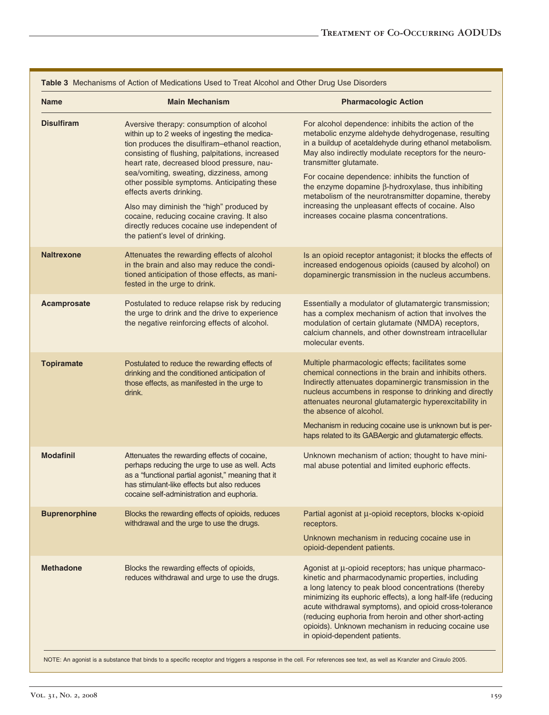| <b>Name</b>       | <b>Main Mechanism</b>                                                                                                                                                                                                                            | <b>Pharmacologic Action</b>                                                                                                                                                                                                                                                                                                                                                                                                                      |  |
|-------------------|--------------------------------------------------------------------------------------------------------------------------------------------------------------------------------------------------------------------------------------------------|--------------------------------------------------------------------------------------------------------------------------------------------------------------------------------------------------------------------------------------------------------------------------------------------------------------------------------------------------------------------------------------------------------------------------------------------------|--|
| <b>Disulfiram</b> | Aversive therapy: consumption of alcohol<br>within up to 2 weeks of ingesting the medica-<br>tion produces the disulfiram-ethanol reaction,<br>consisting of flushing, palpitations, increased<br>heart rate, decreased blood pressure, nau-     | For alcohol dependence: inhibits the action of the<br>metabolic enzyme aldehyde dehydrogenase, resulting<br>in a buildup of acetaldehyde during ethanol metabolism.<br>May also indirectly modulate receptors for the neuro-<br>transmitter glutamate.                                                                                                                                                                                           |  |
|                   | sea/vomiting, sweating, dizziness, among<br>other possible symptoms. Anticipating these<br>effects averts drinking.                                                                                                                              | For cocaine dependence: inhibits the function of<br>the enzyme dopamine $\beta$ -hydroxylase, thus inhibiting<br>metabolism of the neurotransmitter dopamine, thereby<br>increasing the unpleasant effects of cocaine. Also<br>increases cocaine plasma concentrations.                                                                                                                                                                          |  |
|                   | Also may diminish the "high" produced by<br>cocaine, reducing cocaine craving. It also<br>directly reduces cocaine use independent of<br>the patient's level of drinking.                                                                        |                                                                                                                                                                                                                                                                                                                                                                                                                                                  |  |
| <b>Naltrexone</b> | Attenuates the rewarding effects of alcohol<br>in the brain and also may reduce the condi-<br>tioned anticipation of those effects, as mani-<br>fested in the urge to drink.                                                                     | Is an opioid receptor antagonist; it blocks the effects of<br>increased endogenous opioids (caused by alcohol) on<br>dopaminergic transmission in the nucleus accumbens.                                                                                                                                                                                                                                                                         |  |
| Acamprosate       | Postulated to reduce relapse risk by reducing<br>the urge to drink and the drive to experience<br>the negative reinforcing effects of alcohol.                                                                                                   | Essentially a modulator of glutamatergic transmission;<br>has a complex mechanism of action that involves the<br>modulation of certain glutamate (NMDA) receptors,<br>calcium channels, and other downstream intracellular<br>molecular events.                                                                                                                                                                                                  |  |
| <b>Topiramate</b> | Postulated to reduce the rewarding effects of<br>drinking and the conditioned anticipation of<br>those effects, as manifested in the urge to<br>drink.                                                                                           | Multiple pharmacologic effects; facilitates some<br>chemical connections in the brain and inhibits others.<br>Indirectly attenuates dopaminergic transmission in the<br>nucleus accumbens in response to drinking and directly<br>attenuates neuronal glutamatergic hyperexcitability in<br>the absence of alcohol.<br>Mechanism in reducing cocaine use is unknown but is per-<br>haps related to its GABAergic and glutamatergic effects.      |  |
| <b>Modafinil</b>  | Attenuates the rewarding effects of cocaine,<br>perhaps reducing the urge to use as well. Acts<br>as a "functional partial agonist," meaning that it<br>has stimulant-like effects but also reduces<br>cocaine self-administration and euphoria. | Unknown mechanism of action; thought to have mini-<br>mal abuse potential and limited euphoric effects.                                                                                                                                                                                                                                                                                                                                          |  |
| Buprenorpnine     | Blocks the rewarding effects of opioids, reduces<br>withdrawal and the urge to use the drugs.                                                                                                                                                    | Partial agonist at µ-opioid receptors, blocks k-opioid<br>receptors.<br>Unknown mechanism in reducing cocaine use in<br>opioid-dependent patients.                                                                                                                                                                                                                                                                                               |  |
| <b>Methadone</b>  | Blocks the rewarding effects of opioids,<br>reduces withdrawal and urge to use the drugs.                                                                                                                                                        | Agonist at $\mu$ -opioid receptors; has unique pharmaco-<br>kinetic and pharmacodynamic properties, including<br>a long latency to peak blood concentrations (thereby<br>minimizing its euphoric effects), a long half-life (reducing<br>acute withdrawal symptoms), and opioid cross-tolerance<br>(reducing euphoria from heroin and other short-acting<br>opioids). Unknown mechanism in reducing cocaine use<br>in opioid-dependent patients. |  |

NOTE: An agonist is a substance that binds to a specific receptor and triggers a response in the cell. For references see text, as well as Kranzler and Ciraulo 2005.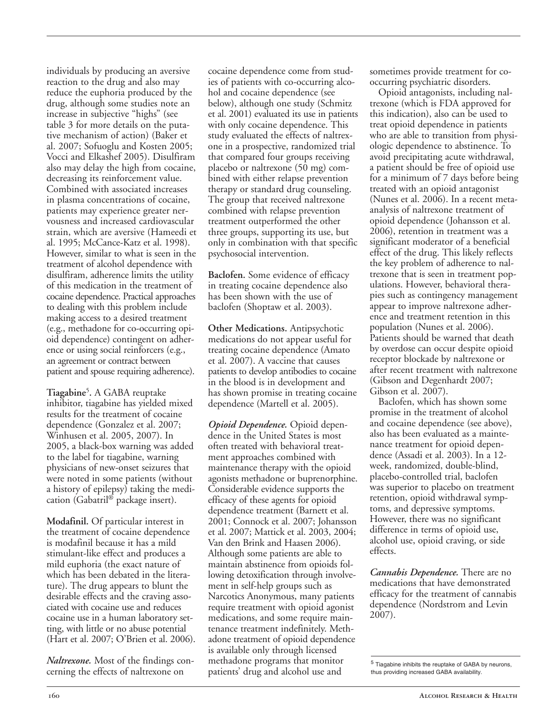individuals by producing an aversive reaction to the drug and also may reduce the euphoria produced by the drug, although some studies note an increase in subjective "highs" (see table 3 for more details on the putative mechanism of action) (Baker et al. 2007; Sofuoglu and Kosten 2005; Vocci and Elkashef 2005). Disulfiram also may delay the high from cocaine, decreasing its reinforcement value. Combined with associated increases in plasma concentrations of cocaine, patients may experience greater nervousness and increased cardiovascular strain, which are aversive (Hameedi et al. 1995; McCance-Katz et al. 1998). However, similar to what is seen in the treatment of alcohol dependence with disulfiram, adherence limits the utility of this medication in the treatment of cocaine dependence. Practical approaches to dealing with this problem include making access to a desired treatment (e.g., methadone for co-occurring opioid dependence) contingent on adherence or using social reinforcers (e.g., an agreement or contract between patient and spouse requiring adherence).

**Tiagabine**<sup>5</sup> **.** A GABA reuptake inhibitor, tiagabine has yielded mixed results for the treatment of cocaine dependence (Gonzalez et al. 2007; Winhusen et al. 2005, 2007). In 2005, a black-box warning was added to the label for tiagabine, warning physicians of new-onset seizures that were noted in some patients (without a history of epilepsy) taking the medication (Gabatril® package insert).

**Modafinil.** Of particular interest in the treatment of cocaine dependence is modafinil because it has a mild stimulant-like effect and produces a mild euphoria (the exact nature of which has been debated in the literature). The drug appears to blunt the desirable effects and the craving associated with cocaine use and reduces cocaine use in a human laboratory setting, with little or no abuse potential (Hart et al. 2007; O'Brien et al. 2006).

*Naltrexone.* Most of the findings concerning the effects of naltrexone on

cocaine dependence come from studies of patients with co-occurring alcohol and cocaine dependence (see below), although one study (Schmitz et al. 2001) evaluated its use in patients with only cocaine dependence. This study evaluated the effects of naltrexone in a prospective, randomized trial that compared four groups receiving placebo or naltrexone (50 mg) combined with either relapse prevention therapy or standard drug counseling. The group that received naltrexone combined with relapse prevention treatment outperformed the other three groups, supporting its use, but only in combination with that specific psychosocial intervention.

**Baclofen.** Some evidence of efficacy in treating cocaine dependence also has been shown with the use of baclofen (Shoptaw et al. 2003).

**Other Medications.** Antipsychotic medications do not appear useful for treating cocaine dependence (Amato et al. 2007). A vaccine that causes patients to develop antibodies to cocaine in the blood is in development and has shown promise in treating cocaine dependence (Martell et al. 2005).

*Opioid Dependence.* Opioid dependence in the United States is most often treated with behavioral treatment approaches combined with maintenance therapy with the opioid agonists methadone or buprenorphine. Considerable evidence supports the efficacy of these agents for opioid dependence treatment (Barnett et al. 2001; Connock et al. 2007; Johansson et al. 2007; Mattick et al. 2003, 2004; Van den Brink and Haasen 2006). Although some patients are able to maintain abstinence from opioids following detoxification through involvement in self-help groups such as Narcotics Anonymous, many patients require treatment with opioid agonist medications, and some require maintenance treatment indefinitely. Methadone treatment of opioid dependence is available only through licensed methadone programs that monitor patients' drug and alcohol use and

sometimes provide treatment for cooccurring psychiatric disorders.

Opioid antagonists, including naltrexone (which is FDA approved for this indication), also can be used to treat opioid dependence in patients who are able to transition from physiologic dependence to abstinence. To avoid precipitating acute withdrawal, a patient should be free of opioid use for a minimum of 7 days before being treated with an opioid antagonist (Nunes et al. 2006). In a recent metaanalysis of naltrexone treatment of opioid dependence (Johansson et al. 2006), retention in treatment was a significant moderator of a beneficial effect of the drug. This likely reflects the key problem of adherence to naltrexone that is seen in treatment populations. However, behavioral therapies such as contingency management appear to improve naltrexone adherence and treatment retention in this population (Nunes et al. 2006). Patients should be warned that death by overdose can occur despite opioid receptor blockade by naltrexone or after recent treatment with naltrexone (Gibson and Degenhardt 2007; Gibson et al. 2007).

Baclofen, which has shown some promise in the treatment of alcohol and cocaine dependence (see above), also has been evaluated as a maintenance treatment for opioid dependence (Assadi et al. 2003). In a 12 week, randomized, double-blind, placebo-controlled trial, baclofen was superior to placebo on treatment retention, opioid withdrawal symptoms, and depressive symptoms. However, there was no significant difference in terms of opioid use, alcohol use, opioid craving, or side effects.

*Cannabis Dependence.* There are no medications that have demonstrated efficacy for the treatment of cannabis dependence (Nordstrom and Levin 2007).

<sup>5</sup> Tiagabine inhibits the reuptake of GABA by neurons, thus providing increased GABA availability.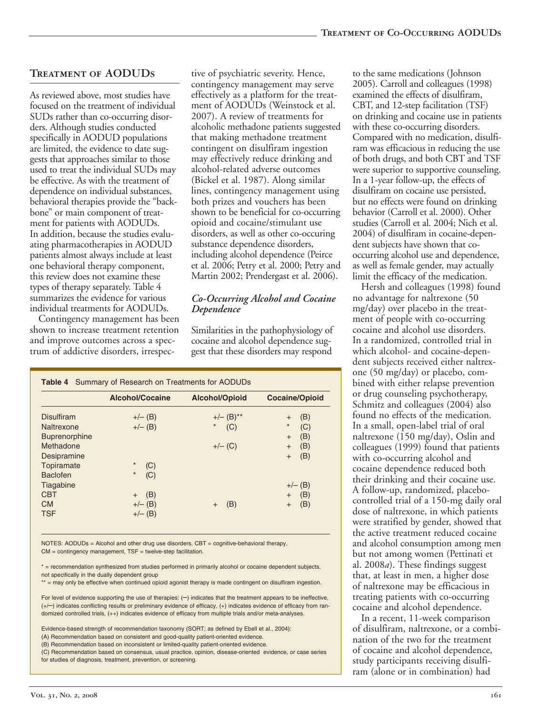# **Treatment of AODUDs**

As reviewed above, most studies have focused on the treatment of individual SUDs rather than co-occurring disorders. Although studies conducted specifically in AODUD populations are limited, the evidence to date suggests that approaches similar to those used to treat the individual SUDs may be effective. As with the treatment of dependence on individual substances, behavioral therapies provide the "backbone" or main component of treatment for patients with AODUDs. In addition, because the studies evaluating pharmacotherapies in AODUD patients almost always include at least one behavioral therapy component, this review does not examine these types of therapy separately. Table 4 summarizes the evidence for various individual treatments for AODUDs.

Contingency management has been shown to increase treatment retention and improve outcomes across a spectrum of addictive disorders, irrespec-

tive of psychiatric severity. Hence, contingency management may serve effectively as a platform for the treatment of AODUDs (Weinstock et al. 2007). A review of treatments for alcoholic methadone patients suggested that making methadone treatment contingent on disulfiram ingestion may effectively reduce drinking and alcohol-related adverse outcomes (Bickel et al. 1987). Along similar lines, contingency management using both prizes and vouchers has been shown to be beneficial for co-occurring opioid and cocaine/stimulant use disorders, as well as other co-occuring substance dependence disorders, including alcohol dependence (Peirce et al. 2006; Petry et al. 2000; Petry and Martin 2002; Prendergast et al. 2006).

# *Co-Occurring Alcohol and Cocaine Dependence*

Similarities in the pathophysiology of cocaine and alcohol dependence suggest that these disorders may respond

| <b>Table 4</b> Summary of Research on Treatments for AODUDs |                        |                         |                       |  |  |
|-------------------------------------------------------------|------------------------|-------------------------|-----------------------|--|--|
|                                                             | <b>Alcohol/Cocaine</b> | Alcohol/Opioid          | <b>Cocaine/Opioid</b> |  |  |
| <b>Disulfiram</b>                                           | $+/- (B)$              | $+/- (B)$ <sup>**</sup> | (B)<br>$+$            |  |  |
| Naltrexone                                                  | $+/- (B)$              | (C)<br>$\star$          | $\star$<br>(C)        |  |  |
| <b>Buprenorphine</b>                                        |                        |                         | (B)<br>$+$            |  |  |
| Methadone                                                   |                        | $+/-$ (C)               | (B)<br>$+$            |  |  |
| Desipramine                                                 |                        |                         | (B)<br>$+$            |  |  |
| Topiramate                                                  | $\ast$<br>(C)          |                         |                       |  |  |
| <b>Baclofen</b>                                             | $\star$<br>(C)         |                         |                       |  |  |
| Tiagabine                                                   |                        |                         | $+/-$ (B)             |  |  |
| <b>CBT</b>                                                  | (B)<br>$+$             |                         | (B)<br>$+$            |  |  |
| <b>CM</b>                                                   | $+/-$ (B)              | (B)<br>$+$              | (B)<br>$^{+}$         |  |  |
| <b>TSF</b>                                                  | $+/-$ (B)              |                         |                       |  |  |

NOTES: AODUDs = Alcohol and other drug use disorders, CBT = cognitive-behavioral therapy, CM = contingency management, TSF = twelve-step facilitation.

\* = recommendation synthesized from studies performed in primarily alcohol or cocaine dependent subjects, not specifically in the dually dependent group

\*\* = may only be effective when continued opioid agonist therapy is made contingent on disulfiram ingestion.

For level of evidence supporting the use of therapies: (-) indicates that the treatment appears to be ineffective, (+/–) indicates conflicting results or preliminary evidence of efficacy, (+) indicates evidence of efficacy from randomized controlled trials, (++) indicates evidence of efficacy from multiple trials and/or meta-analyses.

Evidence-based strength of recommendation taxonomy (SORT; as defined by Ebell et al., 2004):

(A) Recommendation based on consistent and good-quality patient-oriented evidence. (B) Recommendation based on inconsistent or limited-quality patient-oriented evidence.

(C) Recommendation based on consensus, usual practice, opinion, disease-oriented evidence, or case series

for studies of diagnosis, treatment, prevention, or screening.

to the same medications (Johnson 2005). Carroll and colleagues (1998) examined the effects of disulfiram, CBT, and 12-step facilitation (TSF) on drinking and cocaine use in patients with these co-occurring disorders. Compared with no medication, disulfiram was efficacious in reducing the use of both drugs, and both CBT and TSF were superior to supportive counseling. In a 1-year follow-up, the effects of disulfiram on cocaine use persisted, but no effects were found on drinking behavior (Carroll et al. 2000). Other studies (Carroll et al. 2004; Nich et al. 2004) of disulfiram in cocaine-dependent subjects have shown that cooccurring alcohol use and dependence, as well as female gender, may actually limit the efficacy of the medication.

Hersh and colleagues (1998) found no advantage for naltrexone (50 mg/day) over placebo in the treatment of people with co-occurring cocaine and alcohol use disorders. In a randomized, controlled trial in which alcohol- and cocaine-dependent subjects received either naltrexone (50 mg/day) or placebo, combined with either relapse prevention or drug counseling psychotherapy, Schmitz and colleagues (2004) also found no effects of the medication. In a small, open-label trial of oral naltrexone (150 mg/day), Oslin and colleagues (1999) found that patients with co-occurring alcohol and cocaine dependence reduced both their drinking and their cocaine use. A follow-up, randomized, placebocontrolled trial of a 150-mg daily oral dose of naltrexone, in which patients were stratified by gender, showed that the active treatment reduced cocaine and alcohol consumption among men but not among women (Pettinati et al. 2008*a*). These findings suggest that, at least in men, a higher dose of naltrexone may be efficacious in treating patients with co-occurring cocaine and alcohol dependence.

In a recent, 11-week comparison of disulfiram, naltrexone, or a combination of the two for the treatment of cocaine and alcohol dependence, study participants receiving disulfiram (alone or in combination) had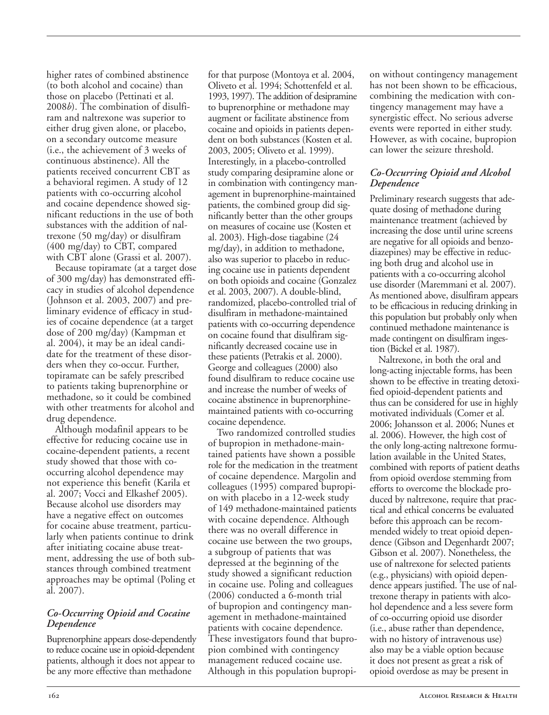higher rates of combined abstinence (to both alcohol and cocaine) than those on placebo (Pettinati et al. 2008*b*). The combination of disulfiram and naltrexone was superior to either drug given alone, or placebo, on a secondary outcome measure (i.e., the achievement of 3 weeks of continuous abstinence). All the patients received concurrent CBT as a behavioral regimen. A study of 12 patients with co-occurring alcohol and cocaine dependence showed significant reductions in the use of both substances with the addition of naltrexone (50 mg/day) or disulfiram (400 mg/day) to CBT, compared with CBT alone (Grassi et al. 2007).

Because topiramate (at a target dose of 300 mg/day) has demonstrated efficacy in studies of alcohol dependence (Johnson et al. 2003, 2007) and preliminary evidence of efficacy in studies of cocaine dependence (at a target dose of 200 mg/day) (Kampman et al. 2004), it may be an ideal candidate for the treatment of these disorders when they co-occur. Further, topiramate can be safely prescribed to patients taking buprenorphine or methadone, so it could be combined with other treatments for alcohol and drug dependence.

Although modafinil appears to be effective for reducing cocaine use in cocaine-dependent patients, a recent study showed that those with cooccurring alcohol dependence may not experience this benefit (Karila et al. 2007; Vocci and Elkashef 2005). Because alcohol use disorders may have a negative effect on outcomes for cocaine abuse treatment, particularly when patients continue to drink after initiating cocaine abuse treatment, addressing the use of both substances through combined treatment approaches may be optimal (Poling et al. 2007).

# *Co-Occurring Opioid and Cocaine Dependence*

Buprenorphine appears dose-dependently to reduce cocaine use in opioid-dependent patients, although it does not appear to be any more effective than methadone

for that purpose (Montoya et al. 2004, Oliveto et al. 1994; Schottenfeld et al. 1993, 1997). The addition of desipramine to buprenorphine or methadone may augment or facilitate abstinence from cocaine and opioids in patients dependent on both substances (Kosten et al. 2003, 2005; Oliveto et al. 1999). Interestingly, in a placebo-controlled study comparing desipramine alone or in combination with contingency management in buprenorphine-maintained patients, the combined group did significantly better than the other groups on measures of cocaine use (Kosten et al. 2003). High-dose tiagabine (24 mg/day), in addition to methadone, also was superior to placebo in reducing cocaine use in patients dependent on both opioids and cocaine (Gonzalez et al. 2003, 2007). A double-blind, randomized, placebo-controlled trial of disulfiram in methadone-maintained patients with co-occurring dependence on cocaine found that disulfiram significantly decreased cocaine use in these patients (Petrakis et al. 2000). George and colleagues (2000) also found disulfiram to reduce cocaine use and increase the number of weeks of cocaine abstinence in buprenorphinemaintained patients with co-occurring cocaine dependence.

Two randomized controlled studies of bupropion in methadone-maintained patients have shown a possible role for the medication in the treatment of cocaine dependence. Margolin and colleagues (1995) compared bupropion with placebo in a 12-week study of 149 methadone-maintained patients with cocaine dependence. Although there was no overall difference in cocaine use between the two groups, a subgroup of patients that was depressed at the beginning of the study showed a significant reduction in cocaine use. Poling and colleagues (2006) conducted a 6-month trial of bupropion and contingency management in methadone-maintained patients with cocaine dependence. These investigators found that bupropion combined with contingency management reduced cocaine use. Although in this population bupropion without contingency management has not been shown to be efficacious, combining the medication with contingency management may have a synergistic effect. No serious adverse events were reported in either study. However, as with cocaine, bupropion can lower the seizure threshold.

# *Co-Occurring Opioid and Alcohol Dependence*

Preliminary research suggests that adequate dosing of methadone during maintenance treatment (achieved by increasing the dose until urine screens are negative for all opioids and benzodiazepines) may be effective in reducing both drug and alcohol use in patients with a co-occurring alcohol use disorder (Maremmani et al. 2007). As mentioned above, disulfiram appears to be efficacious in reducing drinking in this population but probably only when continued methadone maintenance is made contingent on disulfiram ingestion (Bickel et al. 1987).

Naltrexone, in both the oral and long-acting injectable forms, has been shown to be effective in treating detoxified opioid-dependent patients and thus can be considered for use in highly motivated individuals (Comer et al. 2006; Johansson et al. 2006; Nunes et al. 2006). However, the high cost of the only long-acting naltrexone formulation available in the United States, combined with reports of patient deaths from opioid overdose stemming from efforts to overcome the blockade produced by naltrexone, require that practical and ethical concerns be evaluated before this approach can be recommended widely to treat opioid dependence (Gibson and Degenhardt 2007; Gibson et al. 2007). Nonetheless, the use of naltrexone for selected patients (e.g., physicians) with opioid dependence appears justified. The use of naltrexone therapy in patients with alcohol dependence and a less severe form of co-occurring opioid use disorder (i.e., abuse rather than dependence, with no history of intravenous use) also may be a viable option because it does not present as great a risk of opioid overdose as may be present in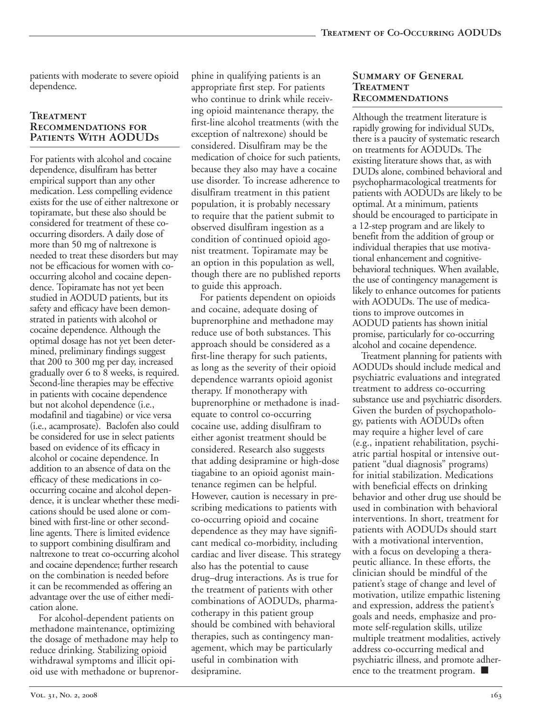patients with moderate to severe opioid dependence.

# **Treatment Recommendations for Patients With AODUDs**

For patients with alcohol and cocaine dependence, disulfiram has better empirical support than any other medication. Less compelling evidence exists for the use of either naltrexone or topiramate, but these also should be considered for treatment of these cooccurring disorders. A daily dose of more than 50 mg of naltrexone is needed to treat these disorders but may not be efficacious for women with cooccurring alcohol and cocaine dependence. Topiramate has not yet been studied in AODUD patients, but its safety and efficacy have been demonstrated in patients with alcohol or cocaine dependence. Although the optimal dosage has not yet been determined, preliminary findings suggest that 200 to 300 mg per day, increased gradually over 6 to 8 weeks, is required. Second-line therapies may be effective in patients with cocaine dependence but not alcohol dependence (i.e., modafinil and tiagabine) or vice versa (i.e., acamprosate). Baclofen also could be considered for use in select patients based on evidence of its efficacy in alcohol or cocaine dependence. In addition to an absence of data on the efficacy of these medications in cooccurring cocaine and alcohol dependence, it is unclear whether these medications should be used alone or combined with first-line or other secondline agents. There is limited evidence to support combining disulfiram and naltrexone to treat co-occurring alcohol and cocaine dependence; further research on the combination is needed before it can be recommended as offering an advantage over the use of either medication alone.

For alcohol-dependent patients on methadone maintenance, optimizing the dosage of methadone may help to reduce drinking. Stabilizing opioid withdrawal symptoms and illicit opioid use with methadone or buprenorphine in qualifying patients is an appropriate first step. For patients who continue to drink while receiving opioid maintenance therapy, the first-line alcohol treatments (with the exception of naltrexone) should be considered. Disulfiram may be the medication of choice for such patients, because they also may have a cocaine use disorder. To increase adherence to disulfiram treatment in this patient population, it is probably necessary to require that the patient submit to observed disulfiram ingestion as a condition of continued opioid agonist treatment. Topiramate may be an option in this population as well, though there are no published reports to guide this approach.

For patients dependent on opioids and cocaine, adequate dosing of buprenorphine and methadone may reduce use of both substances. This approach should be considered as a first-line therapy for such patients, as long as the severity of their opioid dependence warrants opioid agonist therapy. If monotherapy with buprenorphine or methadone is inadequate to control co-occurring cocaine use, adding disulfiram to either agonist treatment should be considered. Research also suggests that adding desipramine or high-dose tiagabine to an opioid agonist maintenance regimen can be helpful. However, caution is necessary in prescribing medications to patients with co-occurring opioid and cocaine dependence as they may have significant medical co-morbidity, including cardiac and liver disease. This strategy also has the potential to cause drug–drug interactions. As is true for the treatment of patients with other combinations of AODUDs, pharmacotherapy in this patient group should be combined with behavioral therapies, such as contingency management, which may be particularly useful in combination with desipramine.

### **Summary of General Treatment Recommendations**

Although the treatment literature is rapidly growing for individual SUDs, there is a paucity of systematic research on treatments for AODUDs. The existing literature shows that, as with DUDs alone, combined behavioral and psychopharmacological treatments for patients with AODUDs are likely to be optimal. At a minimum, patients should be encouraged to participate in a 12-step program and are likely to benefit from the addition of group or individual therapies that use motivational enhancement and cognitivebehavioral techniques. When available, the use of contingency management is likely to enhance outcomes for patients with AODUDs. The use of medications to improve outcomes in AODUD patients has shown initial promise, particularly for co-occurring alcohol and cocaine dependence.

Treatment planning for patients with AODUDs should include medical and psychiatric evaluations and integrated treatment to address co-occurring substance use and psychiatric disorders. Given the burden of psychopathology, patients with AODUDs often may require a higher level of care (e.g., inpatient rehabilitation, psychiatric partial hospital or intensive outpatient "dual diagnosis" programs) for initial stabilization. Medications with beneficial effects on drinking behavior and other drug use should be used in combination with behavioral interventions. In short, treatment for patients with AODUDs should start with a motivational intervention, with a focus on developing a therapeutic alliance. In these efforts, the clinician should be mindful of the patient's stage of change and level of motivation, utilize empathic listening and expression, address the patient's goals and needs, emphasize and promote self-regulation skills, utilize multiple treatment modalities, actively address co-occurring medical and psychiatric illness, and promote adherence to the treatment program. ■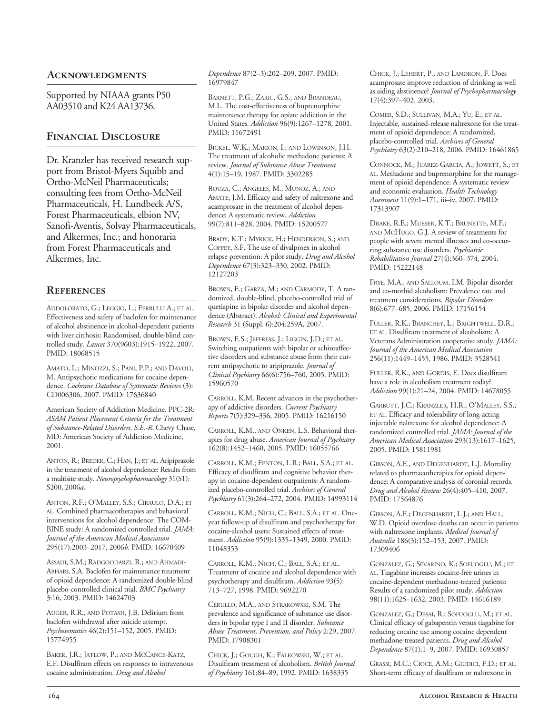#### **Acknowledgments**

Supported by NIAAA grants P50 AA03510 and K24 AA13736.

# **Financial Disclosure**

Dr. Kranzler has received research support from Bristol-Myers Squibb and Ortho-McNeil Pharmaceuticals; consulting fees from Ortho-McNeil Pharmaceuticals, H. Lundbeck A/S, Forest Pharmaceuticals, elbion NV, Sanofi-Aventis, Solvay Pharmaceuticals, and Alkermes, Inc.; and honoraria from Forest Pharmaceuticals and Alkermes, Inc.

# **References**

ADDOLORATO, G.; LEGGIO, L.; FERRULLI A.; ET AL. Effectiveness and safety of baclofen for maintenance of alcohol abstinence in alcohol-dependent patients with liver cirrhosis: Randomised, double-blind controlled study. *Lancet* 370(9603):1915–1922, 2007. PMID: 18068515

AMATO, L.; MINOZZI, S.; PANI, P.P.; AND DAVOLI, M. Antipsychotic medications for cocaine dependence. *Cochrane Database of Systematic Reviews* (3): CD006306, 2007. PMID: 17636840

American Society of Addiction Medicine. PPC-2R: *ASAM Patient Placement Criteria for the Treatment of Substance-Related Disorders, S.E.-R*. Chevy Chase, MD: American Society of Addiction Medicine, 2001.

ANTON, R.; BREDER, C.; HAN, J.; ET AL. Aripiprazole in the treatment of alcohol dependence: Results from a multisite study. *Neuropsychopharmacology* 31(S1): S200, 2006*a*.

ANTON, R.F.; O'MALLEY, S.S.; CIRAULO, D.A.; ET AL. Combined pharmacotherapies and behavioral interventions for alcohol dependence: The COM-BINE study: A randomized controlled trial. *JAMA: Journal of the American Medical Association*  295(17):2003–2017, 2006*b*. PMID: 16670409

ASSADI, S.M.; RADGOODARZI, R.; AND AHMADI-ABHARI, S.A. Baclofen for maintenance treatment of opioid dependence: A randomized double-blind placebo-controlled clinical trial. *BMC Psychiatry*  3:16, 2003. PMID: 14624703

AUGER, R.R., AND POTASH, J.B. Delirium from baclofen withdrawal after suicide attempt. *Psychosomatics* 46(2):151–152, 2005. PMID: 15774955

BAKER, J.R.; JATLOW, P.; AND MCCANCE-KATZ, E.F. Disulfiram effects on responses to intravenous cocaine administration. *Drug and Alcohol* 

*Dependence* 87(2–3):202–209, 2007. PMID: 16979847

BARNETT, P.G.; ZARIC, G.S.; AND BRANDEAU, M.L. The cost-effectiveness of buprenorphine maintenance therapy for opiate addiction in the United States. *Addiction* 96(9):1267–1278, 2001. PMID: 11672491

BICKEL, W.K.; MARION, I.; AND LOWINSON, J.H. The treatment of alcoholic methadone patients: A review. *Journal of Substance Abuse Treatment*  4(1):15–19, 1987. PMID: 3302285

BOUZA, C.; ANGELES, M.; MUNOZ, A.; AND AMATE, J.M. Efficacy and safety of naltrexone and acamprosate in the treatment of alcohol dependence: A systematic review. *Addiction*  99(7):811–828, 2004. PMID: 15200577

BRADY, K.T.; MYRICK, H.; HENDERSON, S.; AND COFFEY, S.F. The use of divalproex in alcohol relapse prevention: A pilot study. *Drug and Alcohol Dependence* 67(3):323–330, 2002. PMID: 12127203

BROWN, E.; GARZA, M.; AND CARMODY, T. A randomized, double-blind, placebo-controlled trial of quetiapine in bipolar disorder and alcohol dependence (Abstract). *Alcohol: Clinical and Experimental Research* 31 (Suppl. 6):204:259A, 2007.

BROWN, E.S.; JEFFRESS, J.; LIGGIN, J.D.; ET AL. Switching outpatients with bipolar or schizoaffective disorders and substance abuse from their current antipsychotic to aripiprazole. *Journal of Clinical Psychiatry* 66(6):756–760, 2005. PMID: 15960570

CARROLL, K.M. Recent advances in the psychotherapy of addictive disorders. *Current Psychiatry Reports* 7(5):329–336, 2005. PMID: 16216150

CARROLL, K.M., AND ONKEN, L.S. Behavioral therapies for drug abuse. *American Journal of Psychiatry*  162(8):1452–1460, 2005. PMID: 16055766

CARROLL, K.M.; FENTON, L.R.; BALL, S.A.; ET AL. Efficacy of disulfiram and cognitive behavior therapy in cocaine-dependent outpatients: A randomized placebo-controlled trial. *Archives of General Psychiatry* 61(3):264–272, 2004. PMID: 14993114

CARROLL, K.M.; NICH, C.; BALL, S.A.; ET AL. Oneyear follow-up of disulfiram and psychotherapy for cocaine-alcohol users: Sustained effects of treatment. *Addiction* 95(9):1335–1349, 2000. PMID: 11048353

CARROLL, K.M.; NICH, C.; BALL, S.A.; ET AL. Treatment of cocaine and alcohol dependence with psychotherapy and disulfiram. *Addiction* 93(5): 713–727, 1998. PMID: 9692270

CERULLO, M.A., AND STRAKOWSKI, S.M. The prevalence and significance of substance use disorders in bipolar type I and II disorder. *Substance Abuse Treatment, Prevention, and Policy* 2:29, 2007. PMID: 17908301

CHICK, J.; GOUGH, K.; FALKOWSKI, W.; ET AL. Disulfiram treatment of alcoholism. *British Journal of Psychiatry* 161:84–89, 1992. PMID: 1638335

CHICK, J.; LEHERT, P.; AND LANDRON, F. Does acamprosate improve reduction of drinking as well as aiding abstinence? *Journal of Psychopharmacology*  17(4):397–402, 2003.

COMER, S.D.; SULLIVAN, M.A.; YU, E.; ET AL. Injectable, sustained-release naltrexone for the treatment of opioid dependence: A randomized, placebo-controlled trial. *Archives of General Psychiatry* 63(2):210–218, 2006. PMID: 16461865

CONNOCK, M.; JUAREZ-GARCIA, A.; JOWETT, S.; ET AL. Methadone and buprenorphine for the management of opioid dependence: A systematic review and economic evaluation. *Health Technology Assessment* 11(9):1–171, iii–iv, 2007. PMID: 17313907

DRAKE, R.E.; MUESER, K.T.; BRUNETTE, M.F.; AND MCHUGO, G.J. A review of treatments for people with severe mental illnesses and co-occurring substance use disorders. *Psychiatric Rehabilitation Journal* 27(4):360–374, 2004. PMID: 15222148

FRYE, M.A., AND SALLOUM, I.M. Bipolar disorder and co-morbid alcoholism: Prevalence rate and treatment considerations. *Bipolar Disorders*  8(6):677–685, 2006. PMID: 17156154

FULLER, R.K.; BRANCHEY, L.; BRIGHTWELL, D.R.; ET AL. Disulfiram treatment of alcoholism: A Veterans Administration cooperative study. *JAMA: Journal of the American Medical Association*  256(11):1449–1455, 1986. PMID: 3528541

FULLER, R.K., AND GORDIS, E. Does disulfiram have a role in alcoholism treatment today? *Addiction* 99(1):21–24, 2004. PMID: 14678055

GARBUTT, J.C.; KRANZLER, H.R.; O'MALLEY, S.S.; ET AL. Efficacy and tolerability of long-acting injectable naltrexone for alcohol dependence: A randomized controlled trial. *JAMA: Journal of the American Medical Association* 293(13):1617–1625, 2005. PMID: 15811981

GIBSON, A.E., AND DEGENHARDT, L.J. Mortality related to pharmacotherapies for opioid dependence: A comparative analysis of coronial records. *Drug and Alcohol Review* 26(4):405–410, 2007. PMID: 17564876

GIBSON, A.E.; DEGENHARDT, L.J.; AND HALL, W.D. Opioid overdose deaths can occur in patients with naltrexone implants. *Medical Journal of Australia* 186(3):152–153, 2007. PMID: 17309406

GONZALEZ, G.; SEVARINO, K.; SOFUOGLU, M.; ET AL. Tiagabine increases cocaine-free urines in cocaine-dependent methadone-treated patients: Results of a randomized pilot study. *Addiction*  98(11):1625–1632, 2003. PMID: 14616189

GONZALEZ, G.; DESAI, R.; SOFUOGLU, M.; ET AL. Clinical efficacy of gabapentin versus tiagabine for reducing cocaine use among cocaine dependent methadone-treated patients. *Drug and Alcohol Dependence* 87(1):1–9, 2007. PMID: 16930857

GRASSI, M.C.; CIOCE, A.M.; GIUDICI, F.D.; ET AL. Short-term efficacy of disulfiram or naltrexone in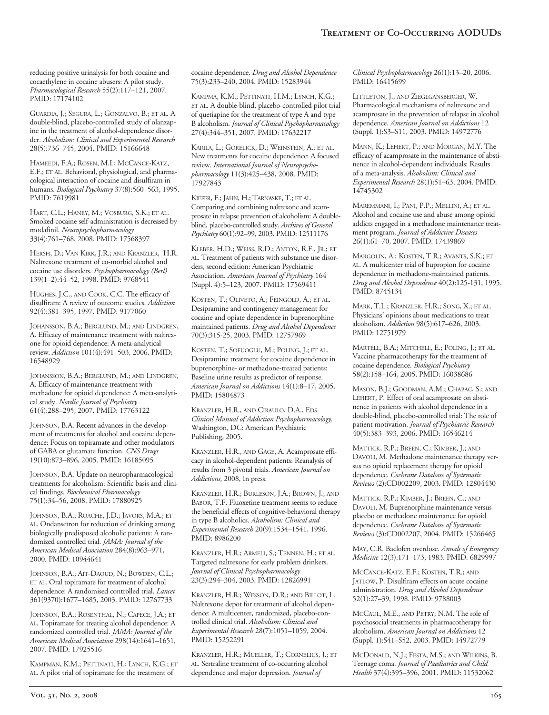reducing positive urinalysis for both cocaine and cocaethylene in cocaine abusers: A pilot study. *Pharmacological Research* 55(2):117–121, 2007. PMID: 17174102

GUARDIA, J.; SEGURA, L.; GONZALVO, B.; ET AL.A double-blind, placebo-controlled study of olanzapine in the treatment of alcohol-dependence disorder. *Alcoholism: Clinical and Experimental Research*  28(5):736–745, 2004. PMID: 15166648

HAMEEDI, F.A.; ROSEN, M.I.; MCCANCE-KATZ, E.F.; ET AL. Behavioral, physiological, and pharmacological interaction of cocaine and disulfiram in humans. *Biological Psychiatry* 37(8):560–563, 1995. PMID: 7619981

HART, C.L.; HANEY, M.; VOSBURG, S.K.; ET AL. Smoked cocaine self-administration is decreased by modafinil. *Neuropsychopharmacology*  33(4):761–768, 2008. PMID: 17568397

HERSH, D.; VAN KIRK, J.R.; AND KRANZLER, H.R. Naltrexone treatment of co-morbid alcohol and cocaine use disorders. *Psychopharmacology (Berl)*  139(1–2):44–52, 1998. PMID: 9768541

HUGHES, J.C., AND COOK, C.C. The efficacy of disulfiram: A review of outcome studies. *Addiction*  92(4):381–395, 1997. PMID: 9177060

JOHANSSON, B.A.; BERGLUND, M.; AND LINDGREN, A. Efficacy of maintenance treatment with naltrexone for opioid dependence: A meta-analytical review. *Addiction* 101(4):491–503, 2006. PMID: 16548929

JOHANSSON, B.A.; BERGLUND, M.; AND LINDGREN, A. Efficacy of maintenance treatment with methadone for opioid dependence: A meta-analytical study. *Nordic Journal of Psychiatry*  61(4):288–295, 2007. PMID: 17763122

JOHNSON, B.A. Recent advances in the development of treatments for alcohol and cocaine dependence: Focus on topiramate and other modulators of GABA or glutamate function. *CNS Drugs*  19(10):873–896, 2005. PMID: 16185095

JOHNSON, B.A. Update on neuropharmacological treatments for alcoholism: Scientific basis and clinical findings. *Biochemical Pharmacology*  75(1):34–56, 2008. PMID: 17880925

JOHNSON, B.A.; ROACHE, J.D.; JAVORS, M.A.; ET AL. Ondansetron for reduction of drinking among biologically predisposed alcoholic patients: A randomized controlled trial. *JAMA: Journal of the American Medical Association* 284(8):963–971, 2000. PMID: 10944641

JOHNSON, B.A.; AIT-DAOUD, N.; BOWDEN, C.L.; ET AL. Oral topiramate for treatment of alcohol dependence: A randomised controlled trial. *Lancet*  361(9370):1677–1685, 2003. PMID: 12767733

JOHNSON, B.A.; ROSENTHAL, N.; CAPECE, J.A.; ET AL. Topiramate for treating alcohol dependence: A randomized controlled trial. *JAMA: Journal of the American Medical Association* 298(14):1641–1651, 2007. PMID: 17925516

KAMPMAN, K.M.; PETTINATI, H.; LYNCH, K.G.; ET AL. A pilot trial of topiramate for the treatment of

cocaine dependence. *Drug and Alcohol Dependence*  75(3):233–240, 2004. PMID: 15283944

KAMPMA, K.M.; PETTINATI, H.M.; LYNCH, K.G.; ET AL. A double-blind, placebo-controlled pilot trial of quetiapine for the treatment of type A and type B alcoholism. *Journal of Clinical Psychopharmacology*  27(4):344–351, 2007. PMID: 17632217

KARILA, L.; GORELICK, D.; WEINSTEIN, A.; ET AL. New treatments for cocaine dependence: A focused review. *International Journal of Neuropsychopharmacology* 11(3):425–438, 2008. PMID: 17927843

KIEFER, F.; JAHN, H.; TARNASKE, T.; ET AL. Comparing and combining naltrexone and acamprosate in relapse prevention of alcoholism: A doubleblind, placebo-controlled study. *Archives of General Psychiatry* 60(1):92–99, 2003. PMID: 12511176

KLEBER, H.D.; WEISS, R.D.; ANTON, R.F., JR.; ET AL. Treatment of patients with substance use disorders, second edition: American Psychiatric Association. *American Journal of Psychiatry* 164 (Suppl. 4):5–123, 2007. PMID: 17569411

KOSTEN, T.; OLIVETO, A.; FEINGOLD, A.; ET AL. Desipramine and contingency management for cocaine and opiate dependence in buprenorphine maintained patients. *Drug and Alcohol Dependence*  70(3):315-25, 2003. PMID: 12757969

KOSTEN, T.; SOFUOGLU, M.; POLING, J.; ET AL. Desipramine treatment for cocaine dependence in buprenorphine- or methadone-treated patients: Baseline urine results as predictor of response. *American Journal on Addictions* 14(1):8–17, 2005. PMID: 15804873

KRANZLER, H.R., AND CIRAULO, D.A., EDS. *Clinical Manual of Addiction Psychopharmacology*. Washington, DC: American Psychiatric Publishing, 2005.

KRANZLER, H.R., AND GAGE, A. Acamprosate efficacy in alcohol-dependent patients: Reanalysis of results from 3 pivotal trials. *American Journal on Addictions*, 2008, In press.

KRANZLER, H.R.; BURLESON, J.A.; BROWN, J.; AND BABOR, T.F. Fluoxetine treatment seems to reduce the beneficial effects of cognitive-behavioral therapy in type B alcoholics. *Alcoholism: Clinical and Experimental Research* 20(9):1534–1541, 1996. PMID: 8986200

KRANZLER, H.R.; ARMELI, S.; TENNEN, H.; ET AL. Targeted naltrexone for early problem drinkers. *Journal of Clinical Psychopharmacology*  23(3):294–304, 2003. PMID: 12826991

KRANZLER, H.R.; WESSON, D.R.; AND BILLOT, L. Naltrexone depot for treatment of alcohol dependence: A multicenter, randomized, placebo-controlled clinical trial. *Alcoholism: Clinical and Experimental Research* 28(7):1051–1059, 2004. PMID: 15252291

KRANZLER, H.R.; MUELLER, T.; CORNELIUS, J.; ET AL. Sertraline treatment of co-occurring alcohol dependence and major depression. *Journal of* 

*Clinical Psychopharmacology* 26(1):13–20, 2006. PMID: 16415699

LITTLETON, J., AND ZIEGLGANSBERGER, W. Pharmacological mechanisms of naltrexone and acamprosate in the prevention of relapse in alcohol dependence. *American Journal on Addictions* 12 (Suppl. 1):S3–S11, 2003. PMID: 14972776

MANN, K.; LEHERT, P.; AND MORGAN, M.Y. The efficacy of acamprosate in the maintenance of abstinence in alcohol-dependent individuals: Results of a meta-analysis. *Alcoholism: Clinical and Experimental Research* 28(1):51–63, 2004. PMID: 14745302

MAREMMANI, I.; PANI, P.P.; MELLINI, A.; ET AL. Alcohol and cocaine use and abuse among opioid addicts engaged in a methadone maintenance treatment program. *Journal of Addictive Diseases*  26(1):61–70, 2007. PMID: 17439869

MARGOLIN, A.; KOSTEN, T.R.; AVANTS, S.K.; ET AL. A multicenter trial of bupropion for cocaine dependence in methadone-maintained patients. *Drug and Alcohol Dependence* 40(2):125-131, 1995. PMID: 8745134

MARK, T.L.; KRANZLER, H.R.; SONG, X.; ET AL. Physicians' opinions about medications to treat alcoholism. *Addiction* 98(5):617–626, 2003. PMID: 12751979

MARTELL, B.A.; MITCHELL, E.; POLING, J.; ET AL. Vaccine pharmacotherapy for the treatment of cocaine dependence. *Biological Psychiatry*  58(2):158–164, 2005. PMID: 16038686

MASON, B.J.; GOODMAN, A.M.; CHABAC, S.; AND LEHERT, P. Effect of oral acamprosate on abstinence in patients with alcohol dependence in a double-blind, placebo-controlled trial: The role of patient motivation. *Journal of Psychiatric Research*  40(5):383–393, 2006. PMID: 16546214

MATTICK, R.P.; BREEN, C.; KIMBER, J.; AND DAVOLI, M. Methadone maintenance therapy versus no opioid replacement therapy for opioid dependence. *Cochrane Database of Systematic Reviews* (2):CD002209, 2003. PMID: 12804430

MATTICK, R.P.; KIMBER, J.; BREEN, C.; AND DAVOLI, M. Buprenorphine maintenance versus placebo or methadone maintenance for opioid dependence. *Cochrane Database of Systematic Reviews* (3):CD002207, 2004. PMID: 15266465

MAY, C.R. Baclofen overdose. *Annals of Emergency Medicine* 12(3):171–173, 1983. PMID: 6829997

MCCANCE-KATZ, E.F.; KOSTEN, T.R.; AND JATLOW, P. Disulfiram effects on acute cocaine administration. *Drug and Alcohol Dependence*  52(1):27–39, 1998. PMID: 9788003

MCCAUL, M.E., AND PETRY, N.M. The role of psychosocial treatments in pharmacotherapy for alcoholism. *American Journal on Addictions* 12 (Suppl. 1):S41–S52, 2003. PMID: 14972779

MCDONALD, N.J.; FESTA, M.S.; AND WILKINS, B. Teenage coma. *Journal of Paediatrics and Child Health* 37(4):395–396, 2001. PMID: 11532062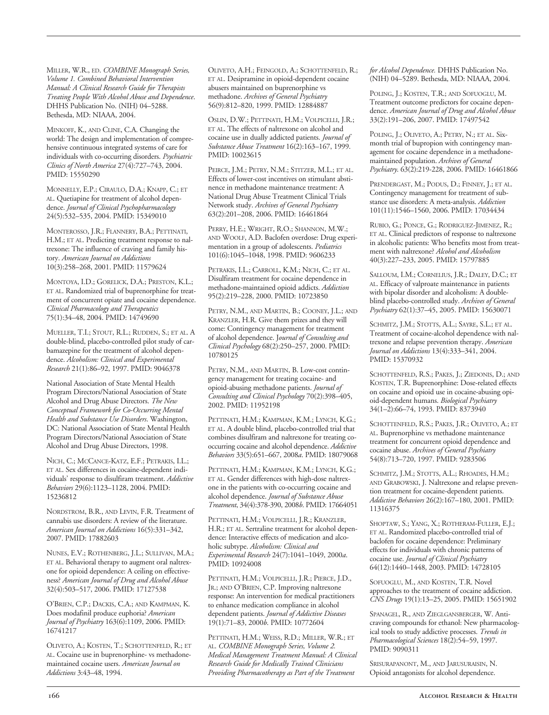MILLER, W.R., ED. *COMBINE Monograph Series, Volume 1. Combined Behavioral Intervention Manual: A Clinical Research Guide for Therapists Treating People With Alcohol Abuse and Dependence*. DHHS Publication No. (NIH) 04–5288. Bethesda, MD: NIAAA, 2004.

MINKOFF, K., AND CLINE, C.A. Changing the world: The design and implementation of comprehensive continuous integrated systems of care for individuals with co-occurring disorders. *Psychiatric Clinics of North America* 27(4):727–743, 2004. PMID: 15550290

MONNELLY, E.P.; CIRAULO, D.A.; KNAPP, C.; ET AL. Quetiapine for treatment of alcohol dependence. *Journal of Clinical Psychopharmacology*  24(5):532–535, 2004. PMID: 15349010

MONTEROSSO, J.R.; FLANNERY, B.A.; PETTINATI, H.M.; ET AL. Predicting treatment response to naltrexone: The influence of craving and family history. *American Journal on Addictions*  10(3):258–268, 2001. PMID: 11579624

MONTOYA, I.D.; GORELICK, D.A.; PRESTON, K.L.; ET AL. Randomized trial of buprenorphine for treatment of concurrent opiate and cocaine dependence. *Clinical Pharmacology and Therapeutics*  75(1):34–48, 2004. PMID: 14749690

MUELLER, T.I.; STOUT, R.L.; RUDDEN, S.; ET AL.A double-blind, placebo-controlled pilot study of carbamazepine for the treatment of alcohol dependence. *Alcoholism: Clinical and Experimental Research* 21(1):86–92, 1997. PMID: 9046378

National Association of State Mental Health Program Directors/National Association of State Alcohol and Drug Abuse Directors. *The New Conceptual Framework for Co-Occurring Mental Health and Substance Use Disorders*. Washington, DC: National Association of State Mental Health Program Directors/National Association of State Alcohol and Drug Abuse Directors, 1998.

NICH, C.; MCCANCE-KATZ, E.F.; PETRAKIS, I.L.; ET AL. Sex differences in cocaine-dependent individuals' response to disulfiram treatment. *Addictive Behaviors* 29(6):1123–1128, 2004. PMID: 15236812

NORDSTROM, B.R., AND LEVIN, F.R. Treatment of cannabis use disorders: A review of the literature. *American Journal on Addictions* 16(5):331–342, 2007. PMID: 17882603

NUNES, E.V.; ROTHENBERG, J.L.; SULLIVAN, M.A.; ET AL. Behavioral therapy to augment oral naltrexone for opioid dependence: A ceiling on effectiveness? *American Journal of Drug and Alcohol Abuse*  32(4):503–517, 2006. PMID: 17127538

O'BRIEN, C.P.; DACKIS, C.A.; AND KAMPMAN, K. Does modafinil produce euphoria? *American Journal of Psychiatry* 163(6):1109, 2006. PMID: 16741217

OLIVETO, A.; KOSTEN, T.; SCHOTTENFELD, R.; ET AL. Cocaine use in buprenorphine- vs methadonemaintained cocaine users. *American Journal on Addictions* 3:43–48, 1994.

OLIVETO, A.H.; FEINGOLD, A.; SCHOTTENFELD, R.; ET AL. Desipramine in opioid-dependent cocaine abusers maintained on buprenorphine vs methadone. *Archives of General Psychiatry*  56(9):812–820, 1999. PMID: 12884887

OSLIN, D.W.; PETTINATI, H.M.; VOLPICELLI, J.R.; ET AL. The effects of naltrexone on alcohol and cocaine use in dually addicted patients. *Journal of Substance Abuse Treatment* 16(2):163–167, 1999. PMID: 10023615

PEIRCE, J.M.; PETRY, N.M.; STITZER, M.L.; ET AL. Effects of lower-cost incentives on stimulant abstinence in methadone maintenance treatment: A National Drug Abuse Treatment Clinical Trials Network study. *Archives of General Psychiatry*  63(2):201–208, 2006. PMID: 16461864

PERRY, H.E.; WRIGHT, R.O.; SHANNON, M.W.; AND WOOLF, A.D. Baclofen overdose: Drug experimentation in a group of adolescents. *Pediatrics*  101(6):1045–1048, 1998. PMID: 9606233

PETRAKIS, I.L.; CARROLL, K.M.; NICH, C.; ET AL. Disulfiram treatment for cocaine dependence in methadone-maintained opioid addicts. *Addiction*  95(2):219–228, 2000. PMID: 10723850

PETRY, N.M., AND MARTIN, B.; COONEY, J.L.; AND KRANZLER, H.R. Give them prizes and they will come: Contingency management for treatment of alcohol dependence. J*ournal of Consulting and Clinical Psychology* 68(2):250–257, 2000. PMID: 10780125

PETRY, N.M., AND MARTIN, B. Low-cost contingency management for treating cocaine- and opioid-abusing methadone patients. *Journal of Consulting and Clinical Psychology* 70(2):398–405, 2002. PMID: 11952198

PETTINATI, H.M.; KAMPMAN, K.M.; LYNCH, K.G.; ET AL. A double blind, placebo-controlled trial that combines disulfiram and naltrexone for treating cooccurring cocaine and alcohol dependence. *Addictive Behaviors* 33(5):651–667, 2008*a*. PMID: 18079068

PETTINATI, H.M.; KAMPMAN, K.M.; LYNCH, K.G.; ET AL. Gender differences with high-dose naltrexone in the patients with co-occurring cocaine and alcohol dependence. *Journal of Substance Abuse Treatment*, 34(4):378-390, 2008*b*. PMID: 17664051

PETTINATI, H.M.; VOLPICELLI, J.R.; KRANZLER, H.R.; ET AL. Sertraline treatment for alcohol dependence: Interactive effects of medication and alcoholic subtype. *Alcoholism: Clinical and Experimental Research* 24(7):1041–1049, 2000*a*. PMID: 10924008

PETTINATI, H.M.; VOLPICELLI, J.R.; PIERCE, J.D., JR.; AND O'BRIEN, C.P. Improving naltrexone response: An intervention for medical practitioners to enhance medication compliance in alcohol dependent patients. *Journal of Addictive Diseases*  19(1):71–83, 2000*b*. PMID: 10772604

PETTINATI, H.M.; WEISS, R.D.; MILLER, W.R.; ET AL. *COMBINE Monograph Series, Volume 2. Medical Management Treatment Manual: A Clinical Research Guide for Medically Trained Clinicians Providing Pharmacotherapy as Part of the Treatment* 

*for Alcohol Dependence.* DHHS Publication No. (NIH) 04–5289. Bethesda, MD: NIAAA, 2004.

POLING, J.; KOSTEN, T.R.; AND SOFUOGLU, M. Treatment outcome predictors for cocaine dependence. *American Journal of Drug and Alcohol Abuse*  33(2):191–206, 2007. PMID: 17497542

POLING, J.; OLIVETO, A.; PETRY, N.; ET AL. Sixmonth trial of bupropion with contingency management for cocaine dependence in a methadonemaintained population. *Archives of General Psychiatry*. 63(2):219-228, 2006. PMID: 16461866

PRENDERGAST, M.; PODUS, D.; FINNEY, J.; ET AL. Contingency management for treatment of substance use disorders: A meta-analysis. *Addiction*  101(11):1546–1560, 2006. PMID: 17034434

RUBIO, G.; PONCE, G.; RODRIGUEZ-JIMENEZ, R.; ET AL. Clinical predictors of response to naltrexone in alcoholic patients: Who benefits most from treatment with naltrexone? *Alcohol and Alcoholism*  40(3):227–233, 2005. PMID: 15797885

SALLOUM, I.M.; CORNELIUS, J.R.; DALEY, D.C.; ET AL. Efficacy of valproate maintenance in patients with bipolar disorder and alcoholism: A doubleblind placebo-controlled study. *Archives of General Psychiatry* 62(1):37–45, 2005. PMID: 15630071

SCHMITZ, J.M.; STOTTS, A.L.; SAYRE, S.L.; ET AL. Treatment of cocaine-alcohol dependence with naltrexone and relapse prevention therapy. *American Journal on Addictions* 13(4):333–341, 2004. PMID: 15370932

SCHOTTENFELD, R.S.; PAKES, J.; ZIEDONIS, D.; AND KOSTEN, T.R. Buprenorphine: Dose-related effects on cocaine and opioid use in cocaine-abusing opioid-dependent humans. *Biological Psychiatry*  34(1–2):66–74, 1993. PMID: 8373940

SCHOTTENFELD, R.S.; PAKES, J.R.; OLIVETO, A.; ET AL. Buprenorphine vs methadone maintenance treatment for concurrent opioid dependence and cocaine abuse. *Archives of General Psychiatry*  54(8):713–720, 1997. PMID: 9283506

SCHMITZ, J.M.; STOTTS, A.L.; RHOADES, H.M.; AND GRABOWSKI, J. Naltrexone and relapse prevention treatment for cocaine-dependent patients. *Addictive Behaviors* 26(2):167–180, 2001. PMID: 11316375

SHOPTAW, S.; YANG, X.; ROTHERAM-FULLER, E.J.; ET AL. Randomized placebo-controlled trial of baclofen for cocaine dependence: Preliminary effects for individuals with chronic patterns of cocaine use. *Journal of Clinical Psychiatry*  64(12):1440–1448, 2003. PMID: 14728105

SOFUOGLU, M., AND KOSTEN, T.R. Novel approaches to the treatment of cocaine addiction. *CNS Drugs* 19(1):13–25, 2005. PMID: 15651902

SPANAGEL, R., AND ZIEGLGANSBERGER, W. Anticraving compounds for ethanol: New pharmacological tools to study addictive processes. *Trends in Pharmacological Sciences* 18(2):54–59, 1997. PMID: 9090311

SRISURAPANONT, M., AND JARUSURAISIN, N. Opioid antagonists for alcohol dependence.